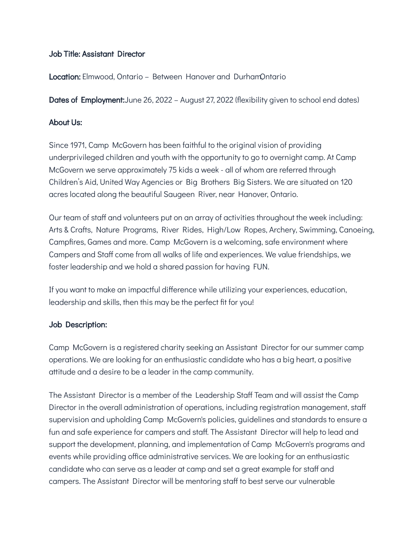## Job Title: Assistant Director

Location: Elmwood, Ontario - Between Hanover and DurhamOntario

**Dates of Employment:**June 26, 2022 – August 27, 2022 (flexibility given to school end dates)

# About Us:

Since 1971, Camp McGovern has been faithful to the original vision of providing underprivileged children and youth with the opportunity to go to overnight camp. At Camp McGovern we serve approximately 75 kids a week - all of whom are referred through Children's Aid, United Way Agencies or Big Brothers Big Sisters. We are situated on 120 acres located along the beautiful Saugeen River, near Hanover, Ontario.

Our team of staff and volunteers put on an array of activities throughout the week including: Arts & Crafts, Nature Programs, River Rides, High/Low Ropes, Archery, Swimming, Canoeing, Campfires, Games and more. Camp McGovern is a welcoming, safe environment where Campers and Staff come from all walks of life and experiences. We value friendships, we foster leadership and we hold a shared passion for having FUN.

If you want to make an impactful difference while utilizing your experiences, education, leadership and skills, then this may be the perfect fit for you!

## Job Description:

Camp McGovern is a registered charity seeking an Assistant Director for our summer camp operations. We are looking for an enthusiastic candidate who has a big heart, a positive attitude and a desire to be a leader in the camp community.

The Assistant Director is a member of the Leadership Staff Team and will assist the Camp Director in the overall administration of operations, including registration management, staff supervision and upholding Camp McGovern's policies, guidelines and standards to ensure a fun and safe experience for campers and staff. The Assistant Director will help to lead and support the development, planning, and implementation of Camp McGovern's programs and events while providing office administrative services. We are looking for an enthusiastic candidate who can serve as a leader at camp and set a great example for staff and campers. The Assistant Director will be mentoring staff to best serve our vulnerable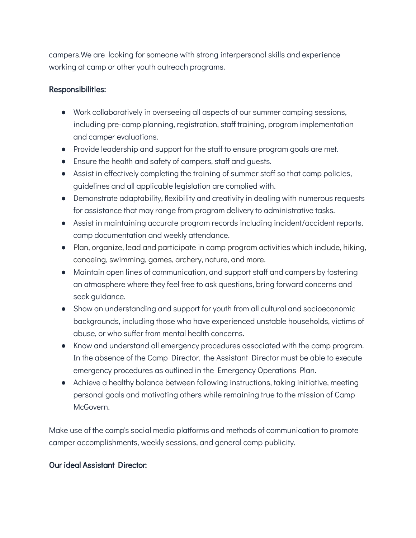campers.We are looking for someone with strong interpersonal skills and experience working at camp or other youth outreach programs.

## Responsibilities:

- Work collaboratively in overseeing all aspects of our summer camping sessions, including pre-camp planning, registration, staff training, program implementation and camper evaluations.
- Provide leadership and support for the staff to ensure program goals are met.
- Ensure the health and safety of campers, staff and guests.
- Assist in effectively completing the training of summer staff so that camp policies, guidelines and all applicable legislation are complied with.
- Demonstrate adaptability, flexibility and creativity in dealing with numerous requests for assistance that may range from program delivery to administrative tasks.
- Assist in maintaining accurate program records including incident/accident reports, camp documentation and weekly attendance.
- Plan, organize, lead and participate in camp program activities which include, hiking, canoeing, swimming, games, archery, nature, and more.
- Maintain open lines of communication, and support staff and campers by fostering an atmosphere where they feel free to ask questions, bring forward concerns and seek guidance.
- Show an understanding and support for youth from all cultural and socioeconomic backgrounds, including those who have experienced unstable households, victims of abuse, or who suffer from mental health concerns.
- Know and understand all emergency procedures associated with the camp program. In the absence of the Camp Director, the Assistant Director must be able to execute emergency procedures as outlined in the Emergency Operations Plan.
- Achieve a healthy balance between following instructions, taking initiative, meeting personal goals and motivating others while remaining true to the mission of Camp McGovern.

Make use of the camp's social media platforms and methods of communication to promote camper accomplishments, weekly sessions, and general camp publicity.

## Our ideal Assistant Director: